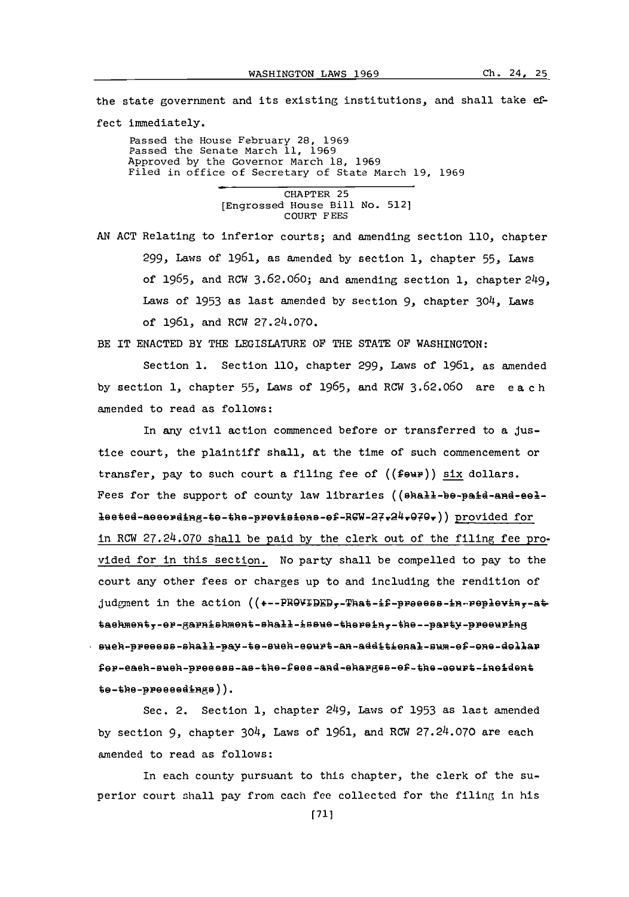the state government and its existing institutions, and shall take effect immediately.

Passed the House February **28, 1969** Passed the Senate March **11, 1969** Approved **by** the Governor March **18, 1969** Filed in office of Secretary of State March **19, 1969**

> CHAPTER **25** [Engrossed House Bill No. **5121 COURT FEES**

**AN ACT** Relating to inferior courts; and amending section **110,** chapter 299, Laws of **1961,** as amended **by** section **1,** chapter **55,** Laws of **1965,** and RCW **3.62.060;** and amending section **1,** chapter 249, Laws **of 1953** as last amended **by** section **9,** chapter 304, Laws of 1961, and RCW **27.24.070.**

BE IT **ENACTED** BY THE LEGISLATURE OF THE **STATE** OF WASHINGTON:

Section **1.** Section **110,** chapter 299, Laws of **1961,** as amended **by** section **1,** chapter **55,** Laws of **1965,** and RCW **3.62.060** are eac h amended to read as follows:

In amy civil action commenced before or transferred to a justice court, the plaintiff shall, at the time of such commencement or transfer, pay to such court a filing fee of  $((f \cdot \theta \cdot \theta))$  six dollars. Fees for the support of county law libraries (( $\theta$ hall-b $\theta$ -paid-and- $\theta$ edleeted-aeeerding-te-the-previsions-ef-RGW-27r24r070r) provided for in RCW **27.24.070** shall be paid **by** the clerk out of the filing fee provided for in this section. No party shall be compelled to pay to the court any other fees or charges up to and including the rendition of judgment in the action ((+--PROVIDED,-That-if-preess-in-replevin,-at taehment,-er-garnishment-shall-issue-therein,-the--party-preeuring sueh-preeess-shall-pay-te-sueh-eeurt-an-additienal-sum-ef-ene-dellar fer-each-such-preess-as-the-fees-and-eharges-of-the-sourt-ineident te-the-preseedings)).

Sec. 2. Section **1,** chapter 249, Laws **of 1953** as last amended **by** section **9,** chapter 304, Laws of **1961,** and RCW **27.24.070** are each amended to read as follows:

In each county pursuant to this chapter, the clerk of the superior court shall pay from cach fee collected for the filing in his